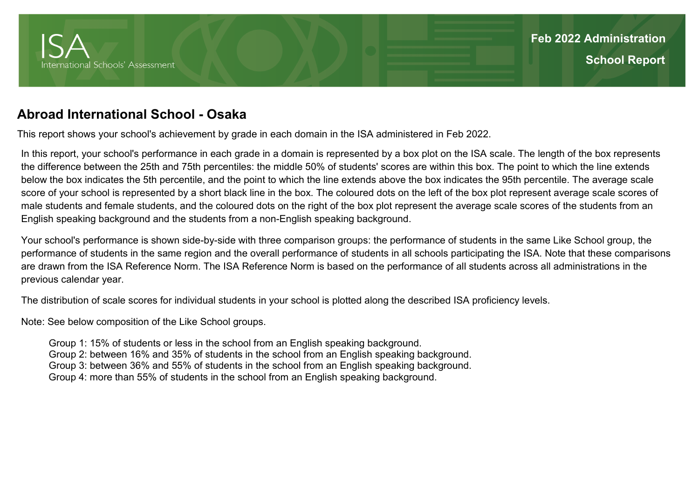

## **Abroad International School - Osaka**

This report shows your school's achievement by grade in each domain in the ISA administered in Feb 2022.

In this report, your school's performance in each grade in a domain is represented by a box plot on the ISA scale. The length of the box represents the difference between the 25th and 75th percentiles: the middle 50% of students' scores are within this box. The point to which the line extends below the box indicates the 5th percentile, and the point to which the line extends above the box indicates the 95th percentile. The average scale score of your school is represented by a short black line in the box. The coloured dots on the left of the box plot represent average scale scores of male students and female students, and the coloured dots on the right of the box plot represent the average scale scores of the students from an English speaking background and the students from a non-English speaking background.

Your school's performance is shown side-by-side with three comparison groups: the performance of students in the same Like School group, the performance of students in the same region and the overall performance of students in all schools participating the ISA. Note that these comparisons are drawn from the ISA Reference Norm. The ISA Reference Norm is based on the performance of all students across all administrations in the previous calendar year.

The distribution of scale scores for individual students in your school is plotted along the described ISA proficiency levels.

Note: See below composition of the Like School groups.

 Group 1: 15% of students or less in the school from an English speaking background. Group 2: between 16% and 35% of students in the school from an English speaking background. Group 3: between 36% and 55% of students in the school from an English speaking background. Group 4: more than 55% of students in the school from an English speaking background.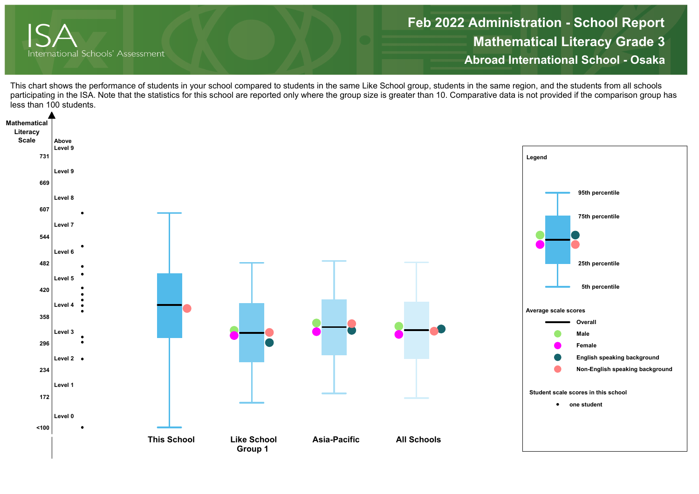

**Mathematical Literacy Grade 3 Abroad International School - OsakaFeb 2022 Administration - School Report**

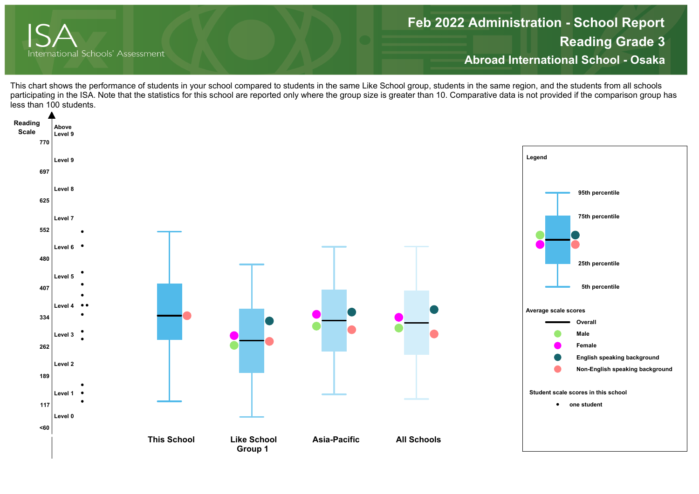

**Reading Grade 3 Abroad International School - Osaka Feb 2022 Administration - School Report**

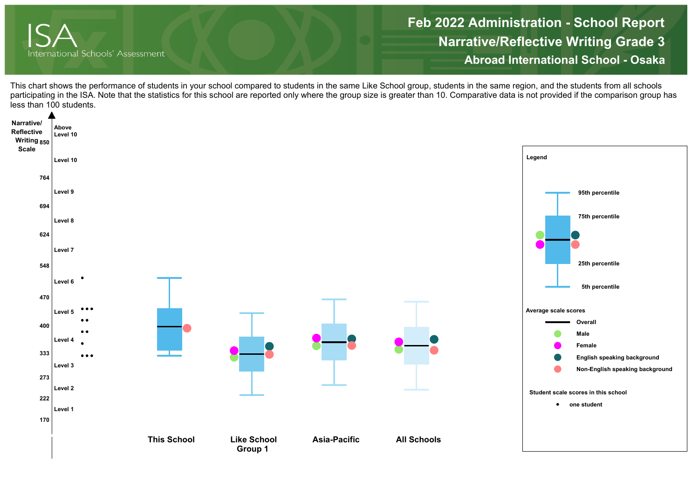

**Narrative/Reflective Writing Grade 3 Abroad International School - OsakaFeb 2022 Administration - School Report**

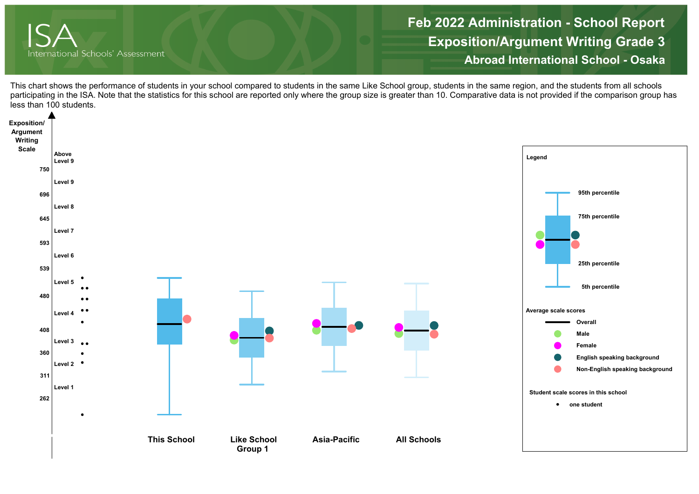

**Exposition/Argument Writing Grade 3 Abroad International School - Osaka Feb 2022 Administration - School Report**

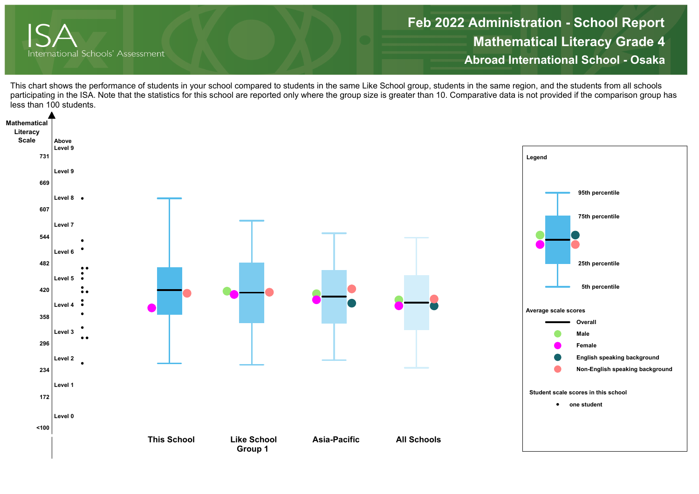

**Mathematical Literacy Grade 4 Abroad International School - OsakaFeb 2022 Administration - School Report**

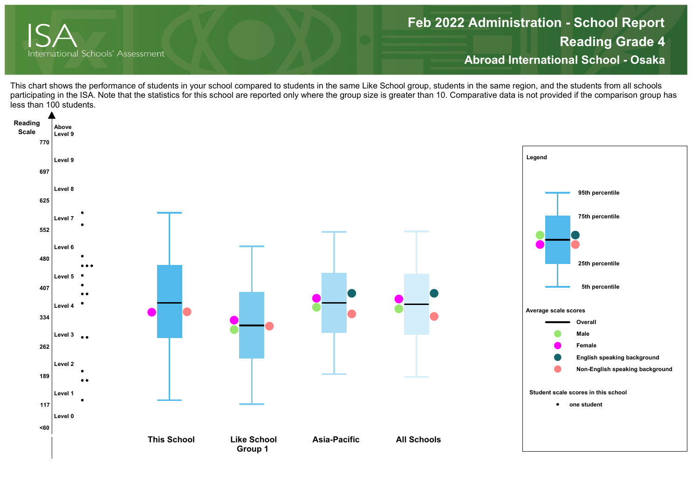

**Reading Grade 4 Abroad International School - Osaka Feb 2022 Administration - School Report**

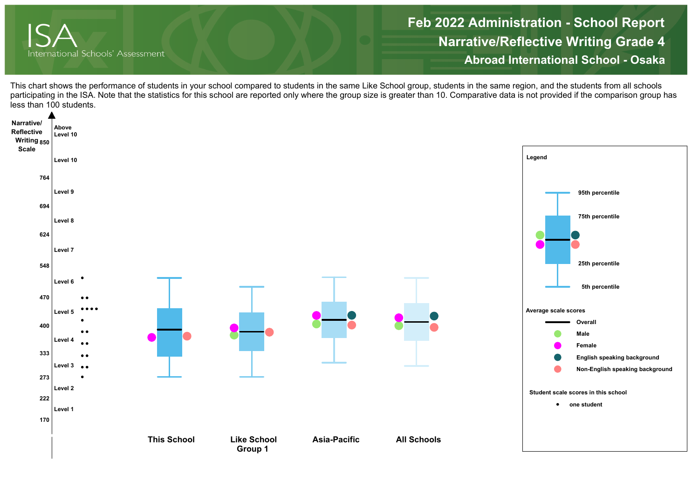

**Narrative/Reflective Writing Grade 4 Abroad International School - OsakaFeb 2022 Administration - School Report**

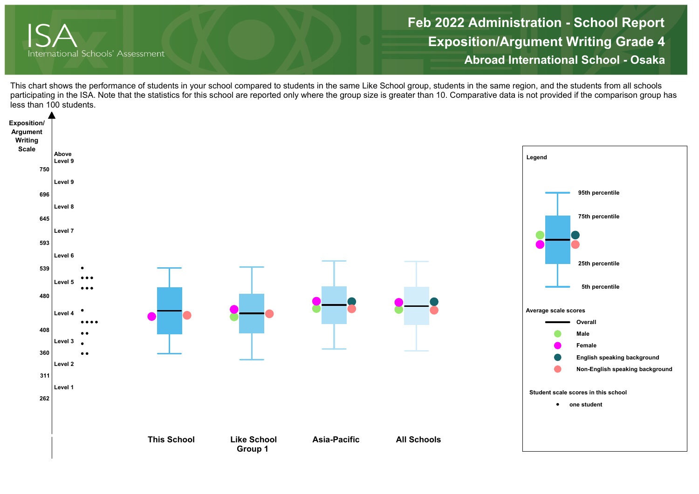

**Exposition/Argument Writing Grade 4 Abroad International School - Osaka Feb 2022 Administration - School Report**

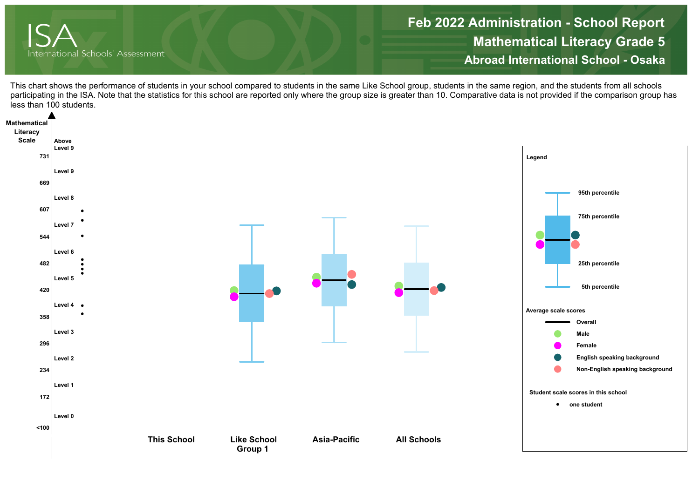

**Mathematical Literacy Grade 5 Abroad International School - OsakaFeb 2022 Administration - School Report**

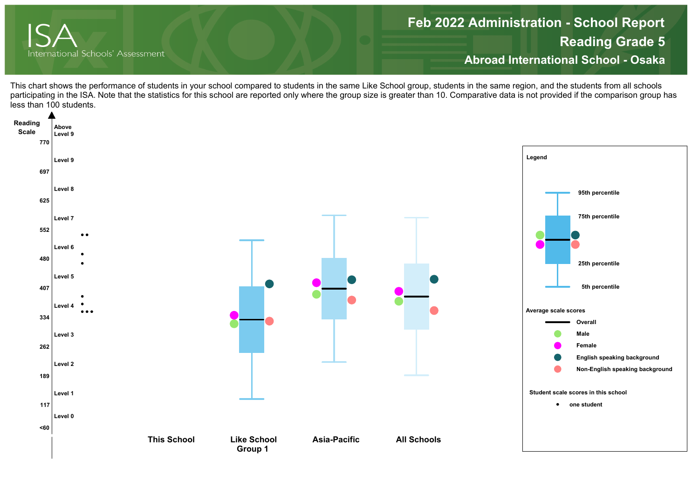

## **Reading Grade 5 Abroad International School - Osaka Feb 2022 Administration - School Report**

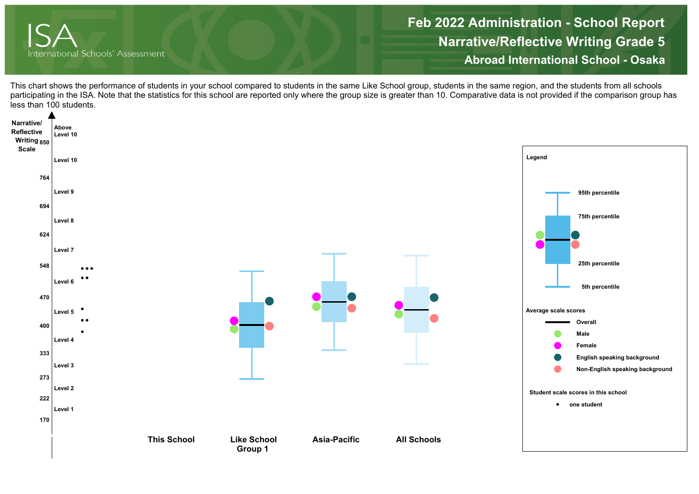

**Narrative/Reflective Writing Grade 5 Abroad International School - OsakaFeb 2022 Administration - School Report**

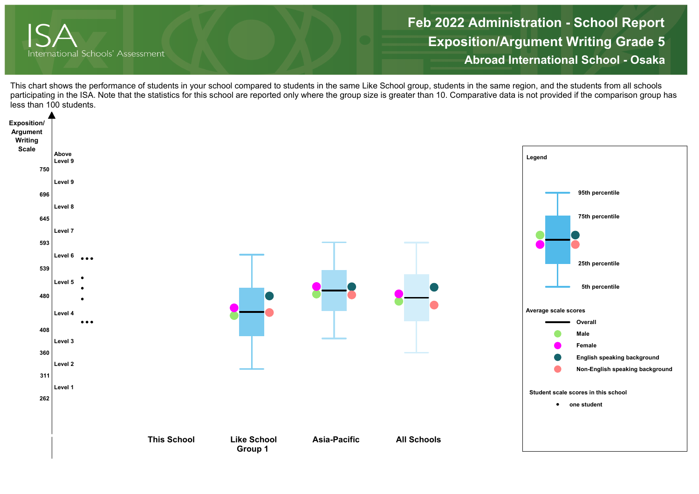

**Exposition/Argument Writing Grade 5 Abroad International School - Osaka Feb 2022 Administration - School Report**

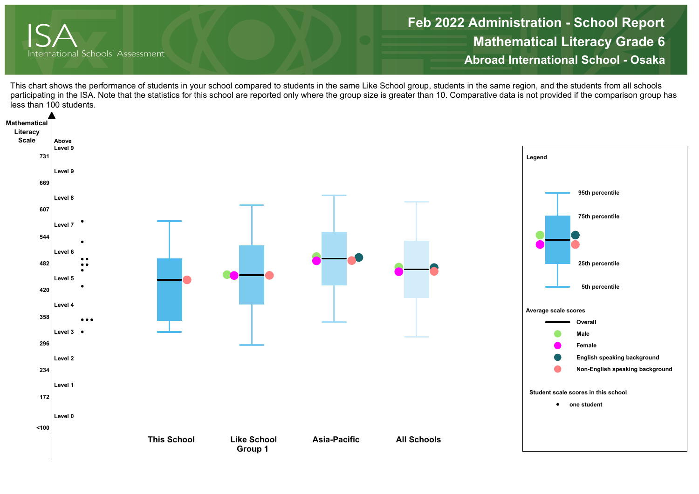

**Mathematical Literacy Grade 6 Abroad International School - OsakaFeb 2022 Administration - School Report**

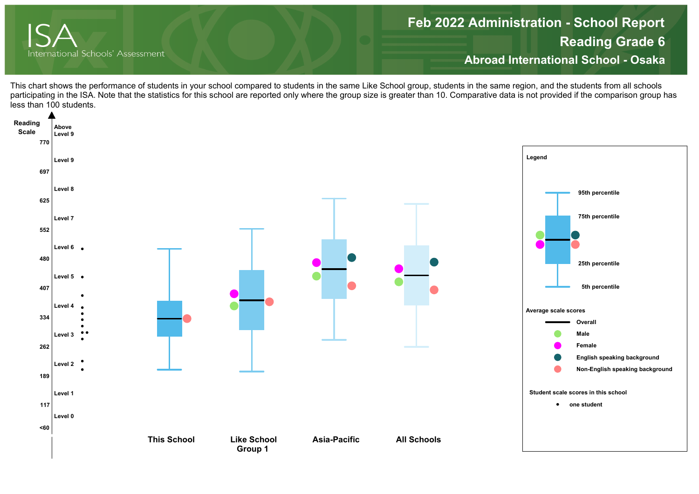

## **Reading Grade 6 Abroad International School - Osaka Feb 2022 Administration - School Report**

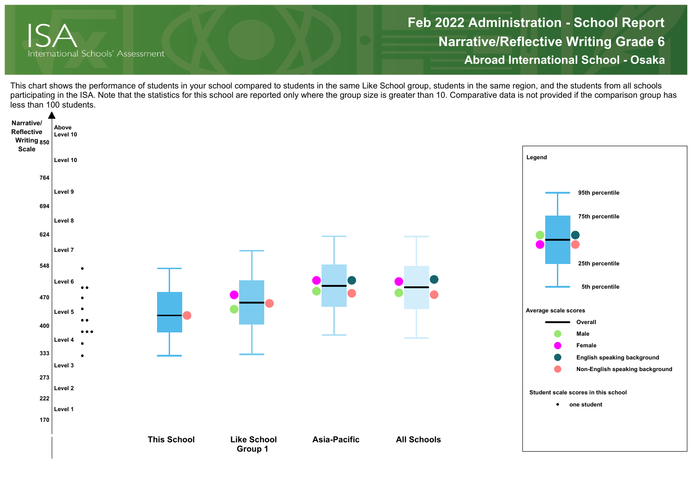

**Narrative/Reflective Writing Grade 6 Abroad International School - OsakaFeb 2022 Administration - School Report**

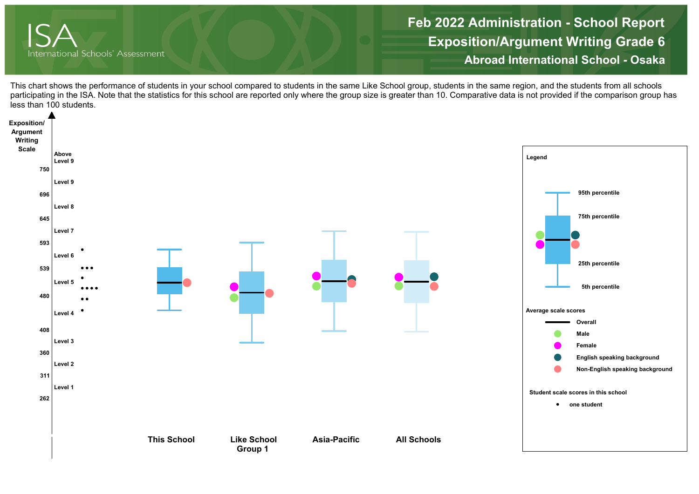

**Exposition/Argument Writing Grade 6 Abroad International School - Osaka Feb 2022 Administration - School Report**

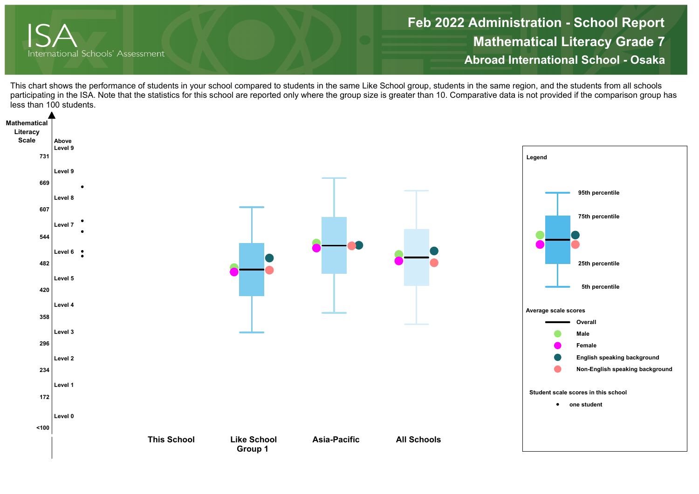

**Mathematical Literacy Grade 7 Abroad International School - OsakaFeb 2022 Administration - School Report**

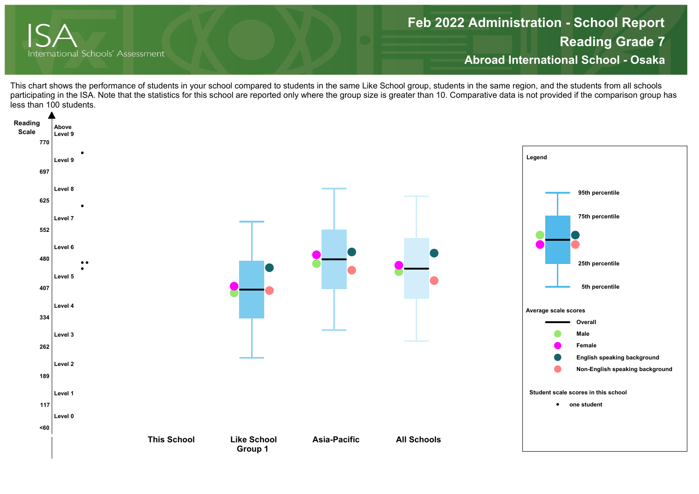

## **Reading Grade 7 Abroad International School - Osaka Feb 2022 Administration - School Report**

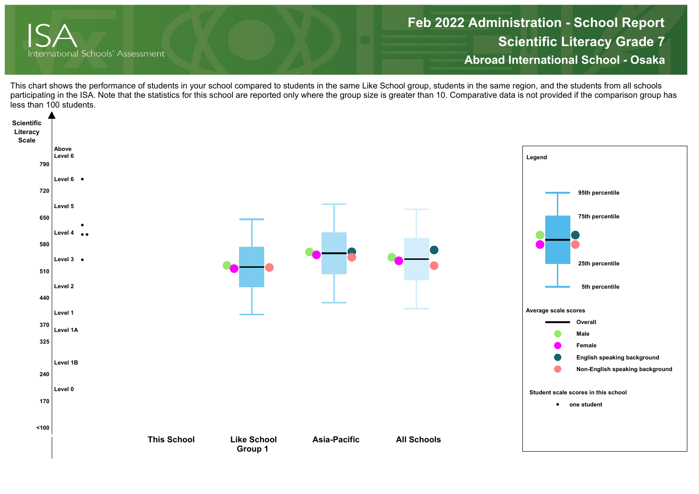

**Scientific Literacy Grade 7 Abroad International School - OsakaFeb 2022 Administration - School Report**

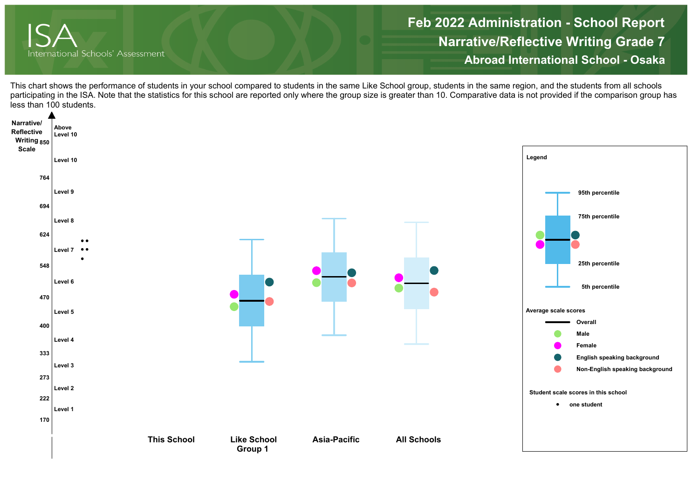

**Narrative/Reflective Writing Grade 7 Abroad International School - OsakaFeb 2022 Administration - School Report**